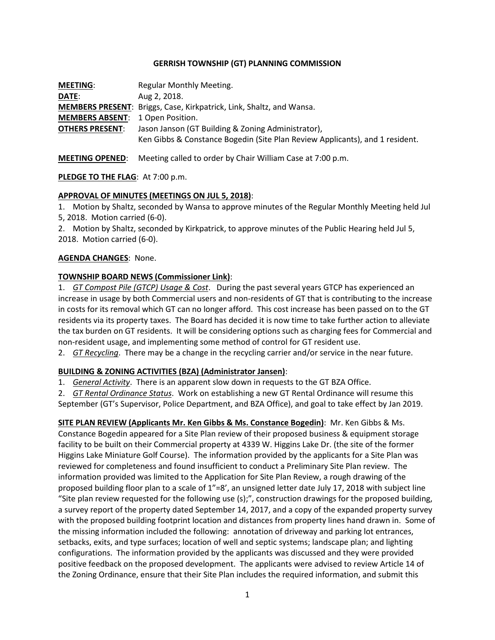### **GERRISH TOWNSHIP (GT) PLANNING COMMISSION**

| <b>MEETING:</b>                         | Regular Monthly Meeting.                                                     |
|-----------------------------------------|------------------------------------------------------------------------------|
| DATE:                                   | Aug 2, 2018.                                                                 |
|                                         | <b>MEMBERS PRESENT:</b> Briggs, Case, Kirkpatrick, Link, Shaltz, and Wansa.  |
| <b>MEMBERS ABSENT: 1 Open Position.</b> |                                                                              |
| <b>OTHERS PRESENT:</b>                  | Jason Janson (GT Building & Zoning Administrator),                           |
|                                         | Ken Gibbs & Constance Bogedin (Site Plan Review Applicants), and 1 resident. |

**MEETING OPENED**: Meeting called to order by Chair William Case at 7:00 p.m.

# **PLEDGE TO THE FLAG**: At 7:00 p.m.

### **APPROVAL OF MINUTES (MEETINGS ON JUL 5, 2018)**:

1. Motion by Shaltz, seconded by Wansa to approve minutes of the Regular Monthly Meeting held Jul 5, 2018. Motion carried (6-0).

2. Motion by Shaltz, seconded by Kirkpatrick, to approve minutes of the Public Hearing held Jul 5, 2018. Motion carried (6-0).

### **AGENDA CHANGES**: None.

# **TOWNSHIP BOARD NEWS (Commissioner Link)**:

1. *GT Compost Pile (GTCP) Usage & Cost*. During the past several years GTCP has experienced an increase in usage by both Commercial users and non-residents of GT that is contributing to the increase in costs for its removal which GT can no longer afford. This cost increase has been passed on to the GT residents via its property taxes. The Board has decided it is now time to take further action to alleviate the tax burden on GT residents. It will be considering options such as charging fees for Commercial and non-resident usage, and implementing some method of control for GT resident use.

2. *GT Recycling*. There may be a change in the recycling carrier and/or service in the near future.

# **BUILDING & ZONING ACTIVITIES (BZA) (Administrator Jansen)**:

1. *General Activity*. There is an apparent slow down in requests to the GT BZA Office.

2. *GT Rental Ordinance Status*. Work on establishing a new GT Rental Ordinance will resume this September (GT's Supervisor, Police Department, and BZA Office), and goal to take effect by Jan 2019.

**SITE PLAN REVIEW (Applicants Mr. Ken Gibbs & Ms. Constance Bogedin)**: Mr. Ken Gibbs & Ms. Constance Bogedin appeared for a Site Plan review of their proposed business & equipment storage facility to be built on their Commercial property at 4339 W. Higgins Lake Dr. (the site of the former Higgins Lake Miniature Golf Course). The information provided by the applicants for a Site Plan was reviewed for completeness and found insufficient to conduct a Preliminary Site Plan review. The information provided was limited to the Application for Site Plan Review, a rough drawing of the proposed building floor plan to a scale of 1"=8', an unsigned letter date July 17, 2018 with subject line "Site plan review requested for the following use (s);", construction drawings for the proposed building, a survey report of the property dated September 14, 2017, and a copy of the expanded property survey with the proposed building footprint location and distances from property lines hand drawn in. Some of the missing information included the following: annotation of driveway and parking lot entrances, setbacks, exits, and type surfaces; location of well and septic systems; landscape plan; and lighting configurations. The information provided by the applicants was discussed and they were provided positive feedback on the proposed development. The applicants were advised to review Article 14 of the Zoning Ordinance, ensure that their Site Plan includes the required information, and submit this